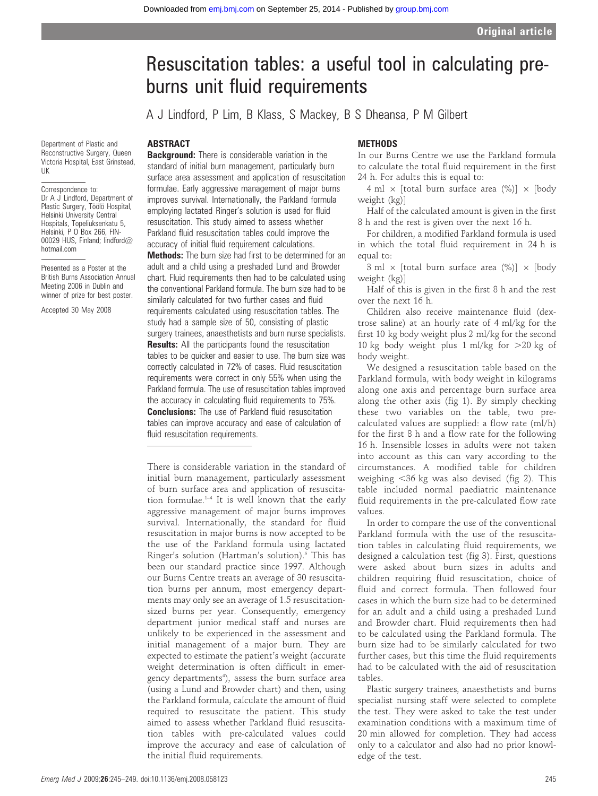# Resuscitation tables: a useful tool in calculating preburns unit fluid requirements

A J Lindford, P Lim, B Klass, S Mackey, B S Dheansa, P M Gilbert

Department of Plastic and Reconstructive Surgery, Queen Victoria Hospital, East Grinstead, UK

#### Correspondence to: Dr A J Lindford, Department of Plastic Surgery, Töölö Hospital, Helsinki University Central Hospitals, Topeliuksenkatu 5, Helsinki, P O Box 266, FIN-00029 HUS, Finland; lindford@ hotmail.com

Presented as a Poster at the British Burns Association Annual Meeting 2006 in Dublin and winner of prize for best poster.

Accepted 30 May 2008

# ABSTRACT

**Background:** There is considerable variation in the standard of initial burn management, particularly burn surface area assessment and application of resuscitation formulae. Early aggressive management of major burns improves survival. Internationally, the Parkland formula employing lactated Ringer's solution is used for fluid resuscitation. This study aimed to assess whether Parkland fluid resuscitation tables could improve the accuracy of initial fluid requirement calculations.

Methods: The burn size had first to be determined for an adult and a child using a preshaded Lund and Browder chart. Fluid requirements then had to be calculated using the conventional Parkland formula. The burn size had to be similarly calculated for two further cases and fluid requirements calculated using resuscitation tables. The study had a sample size of 50, consisting of plastic surgery trainees, anaesthetists and burn nurse specialists. **Results:** All the participants found the resuscitation tables to be quicker and easier to use. The burn size was correctly calculated in 72% of cases. Fluid resuscitation requirements were correct in only 55% when using the Parkland formula. The use of resuscitation tables improved the accuracy in calculating fluid requirements to 75%. **Conclusions:** The use of Parkland fluid resuscitation tables can improve accuracy and ease of calculation of fluid resuscitation requirements.

There is considerable variation in the standard of initial burn management, particularly assessment of burn surface area and application of resuscitation formulae.1–4 It is well known that the early aggressive management of major burns improves survival. Internationally, the standard for fluid resuscitation in major burns is now accepted to be the use of the Parkland formula using lactated Ringer's solution (Hartman's solution).<sup>5</sup> This has been our standard practice since 1997. Although our Burns Centre treats an average of 30 resuscitation burns per annum, most emergency departments may only see an average of 1.5 resuscitationsized burns per year. Consequently, emergency department junior medical staff and nurses are unlikely to be experienced in the assessment and initial management of a major burn. They are expected to estimate the patient's weight (accurate weight determination is often difficult in emergency departments<sup>4</sup>), assess the burn surface area (using a Lund and Browder chart) and then, using the Parkland formula, calculate the amount of fluid required to resuscitate the patient. This study aimed to assess whether Parkland fluid resuscitation tables with pre-calculated values could improve the accuracy and ease of calculation of the initial fluid requirements.

## **METHODS**

In our Burns Centre we use the Parkland formula to calculate the total fluid requirement in the first 24 h. For adults this is equal to:

4 ml  $\times$  [total burn surface area (%)]  $\times$  [body weight (kg)]

Half of the calculated amount is given in the first 8 h and the rest is given over the next 16 h.

For children, a modified Parkland formula is used in which the total fluid requirement in 24 h is equal to:

3 ml  $\times$  [total burn surface area (%)]  $\times$  [body weight (kg)]

Half of this is given in the first 8 h and the rest over the next 16 h.

Children also receive maintenance fluid (dextrose saline) at an hourly rate of 4 ml/kg for the first 10 kg body weight plus 2 ml/kg for the second 10 kg body weight plus 1 ml/kg for  $>20$  kg of body weight.

We designed a resuscitation table based on the Parkland formula, with body weight in kilograms along one axis and percentage burn surface area along the other axis (fig 1). By simply checking these two variables on the table, two precalculated values are supplied: a flow rate (ml/h) for the first 8 h and a flow rate for the following 16 h. Insensible losses in adults were not taken into account as this can vary according to the circumstances. A modified table for children weighing  $<$ 36 kg was also devised (fig 2). This table included normal paediatric maintenance fluid requirements in the pre-calculated flow rate values.

In order to compare the use of the conventional Parkland formula with the use of the resuscitation tables in calculating fluid requirements, we designed a calculation test (fig 3). First, questions were asked about burn sizes in adults and children requiring fluid resuscitation, choice of fluid and correct formula. Then followed four cases in which the burn size had to be determined for an adult and a child using a preshaded Lund and Browder chart. Fluid requirements then had to be calculated using the Parkland formula. The burn size had to be similarly calculated for two further cases, but this time the fluid requirements had to be calculated with the aid of resuscitation tables.

Plastic surgery trainees, anaesthetists and burns specialist nursing staff were selected to complete the test. They were asked to take the test under examination conditions with a maximum time of 20 min allowed for completion. They had access only to a calculator and also had no prior knowledge of the test.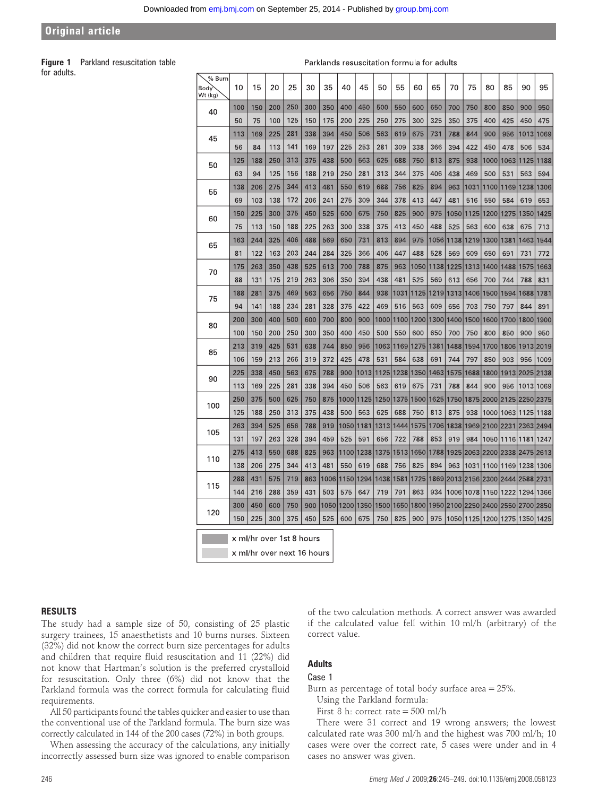# Original article

Figure 1 Parkland resuscitation table for adults.

Parklands resuscitation formula for adults

| % Burn<br>Bodv<br>Wt (kg) | 10                         | 15                       | 20  | 25  | 30  | 35   | 40   | 45   | 50   | 55   | 60   | 65   | 70   | 75   | 80                            | 85             | 90             | 95        |
|---------------------------|----------------------------|--------------------------|-----|-----|-----|------|------|------|------|------|------|------|------|------|-------------------------------|----------------|----------------|-----------|
| 40                        | 100                        | 150                      | 200 | 250 | 300 | 350  | 400  | 450  | 500  | 550  | 600  | 650  | 700  | 750  | 800                           | 850            | 900            | 950       |
|                           | 50                         | 75                       | 100 | 125 | 150 | 175  | 200  | 225  | 250  | 275  | 300  | 325  | 350  | 375  | 400                           | 425            | 450            | 475       |
| 45                        | 113                        | 169                      | 225 | 281 | 338 | 394  | 450  | 506  | 563  | 619  | 675  | 731  | 788  | 844  | 900                           | 956            | 1013           | 1069      |
|                           | 56                         | 84                       | 113 | 141 | 169 | 197  | 225  | 253  | 281  | 309  | 338  | 366  | 394  | 422  | 450                           | 478            | 506            | 534       |
| 50                        | 125                        | 188                      | 250 | 313 | 375 | 438  | 500  | 563  | 625  | 688  | 750  | 813  | 875  | 938  | 1000                          | 1063           | 1125           | 1188      |
|                           | 63                         | 94                       | 125 | 156 | 188 | 219  | 250  | 281  | 313  | 344  | 375  | 406  | 438  | 469  | 500                           | 531            | 563            | 594       |
| 55                        | 138                        | 206                      | 275 | 344 | 413 | 481  | 550  | 619  | 688  | 756  | 825  | 894  | 963  | 1031 | 1100                          | 1169           | 1238           | 1306      |
|                           | 69                         | 103                      | 138 | 172 | 206 | 241  | 275  | 309  | 344  | 378  | 413  | 447  | 481  | 516  | 550                           | 584            | 619            | 653       |
| 60                        | 150                        | 225                      | 300 | 375 | 450 | 525  | 600  | 675  | 750  | 825  | 900  | 975  | 1050 | 1125 | 1200                          | 1275           | 1350           | 1425      |
|                           | 75                         | 113                      | 150 | 188 | 225 | 263  | 300  | 338  | 375  | 413  | 450  | 488  | 525  | 563  | 600                           | 638            | 675            | 713       |
| 65                        | 163                        | 244                      | 325 | 406 | 488 | 569  | 650  | 731  | 813  | 894  | 975  | 1056 | 1138 | 1219 | 1300                          | 1381           | 1463           | 1544      |
|                           | 81                         | 122                      | 163 | 203 | 244 | 284  | 325  | 366  | 406  | 447  | 488  | 528  | 569  | 609  | 650                           | 691            | 731            | 772       |
| 70                        | 175                        | 263                      | 350 | 438 | 525 | 613  | 700  | 788  | 875  | 963  | 1050 | 1138 | 1225 | 1313 | 1400                          | 1488           | 1575           | 1663      |
|                           | 88                         | 131                      | 175 | 219 | 263 | 306  | 350  | 394  | 438  | 481  | 525  | 569  | 613  | 656  | 700                           | 744            | 788            | 831       |
| 75                        | 188                        | 281                      | 375 | 469 | 563 | 656  | 750  | 844  | 938  | 1031 | 1125 | 1219 | 1313 | 1406 | 1500                          | 1594           | 1688           | 1781      |
|                           | 94                         | 141                      | 188 | 234 | 281 | 328  | 375  | 422  | 469  | 516  | 563  | 609  | 656  | 703  | 750                           | 797            | 844            | 891       |
| 80                        | 200                        | 300                      | 400 | 500 | 600 | 700  | 800  | 900  | 1000 | 1100 | 1200 | 1300 | 1400 | 1500 | 1600                          | 1700           | 1800           | 1900      |
|                           | 100                        | 150                      | 200 | 250 | 300 | 350  | 400  | 450  | 500  | 550  | 600  | 650  | 700  | 750  | 800                           | 850            | 900            | 950       |
| 85                        | 213                        | 319                      | 425 | 531 | 638 | 744  | 850  | 956  | 1063 | 1169 | 1275 | 1381 | 1488 | 1594 | 1700                          | 1806           | 1913           | 2019      |
|                           | 106                        | 159                      | 213 | 266 | 319 | 372  | 425  | 478  | 531  | 584  | 638  | 691  | 744  | 797  | 850                           | 903            | 956            | 1009      |
| 90                        | 225                        | 338                      | 450 | 563 | 675 | 788  | 900  | 1013 | 1125 | 1238 | 1350 | 1463 | 1575 | 1688 | 1800                          |                | 1913 2025 2138 |           |
|                           | 113                        | 169                      | 225 | 281 | 338 | 394  | 450  | 506  | 563  | 619  | 675  | 731  | 788  | 844  | 900                           | 956            |                | 1013 1069 |
| 100                       | 250                        | 375                      | 500 | 625 | 750 | 875  | 1000 | 1125 | 1250 | 1375 | 1500 | 1625 | 1750 |      | 1875 2000 2125 2250 2375      |                |                |           |
|                           | 125                        | 188                      | 250 | 313 | 375 | 438  | 500  | 563  | 625  | 688  | 750  | 813  | 875  | 938  | 1000                          | 1063 1125 1188 |                |           |
|                           | 263                        | 394                      | 525 | 656 | 788 | 919  | 1050 | 1181 | 1313 | 1444 | 1575 | 1706 | 1838 |      | 1969 2100 2231                |                | 2363 2494      |           |
| 105                       | 131                        | 197                      | 263 | 328 | 394 | 459  | 525  | 591  | 656  | 722  | 788  | 853  | 919  | 984  | 1050                          | 1116 1181      |                | 1247      |
| 110                       | 275                        | 413                      | 550 | 688 | 825 | 963  | 1100 | 1238 | 1375 | 1513 | 1650 | 1788 |      |      | 1925 2063 2200 2338 2475      |                |                | 2613      |
|                           | 138                        | 206                      | 275 | 344 | 413 | 481  | 550  | 619  | 688  | 756  | 825  | 894  | 963  |      | 1031 1100                     | 1169           |                | 1238 1306 |
| 115                       | 288                        | 431                      | 575 | 719 | 863 | 1006 | 1150 | 1294 | 1438 | 1581 | 1725 | 1869 |      |      | 2013 2156 2300                | 2444 2588 2731 |                |           |
|                           | 144                        | 216                      | 288 | 359 | 431 | 503  | 575  | 647  | 719  | 791  | 863  | 934  |      |      | 1006 1078 1150 1222 1294 1366 |                |                |           |
| 120                       | 300                        | 450                      | 600 | 750 | 900 | 1050 | 1200 | 1350 | 1500 | 1650 | 1800 | 1950 |      |      | 2100 2250 2400                | 2550 2700 2850 |                |           |
|                           | 150                        | 225                      | 300 | 375 | 450 | 525  | 600  | 675  | 750  | 825  | 900  | 975  | 1050 |      | 1125 1200                     | 1275           |                | 1350 1425 |
|                           |                            | x ml/hr over 1st 8 hours |     |     |     |      |      |      |      |      |      |      |      |      |                               |                |                |           |
|                           |                            |                          |     |     |     |      |      |      |      |      |      |      |      |      |                               |                |                |           |
|                           | x ml/hr over next 16 hours |                          |     |     |     |      |      |      |      |      |      |      |      |      |                               |                |                |           |

#### RESULTS

The study had a sample size of 50, consisting of 25 plastic surgery trainees, 15 anaesthetists and 10 burns nurses. Sixteen (32%) did not know the correct burn size percentages for adults and children that require fluid resuscitation and 11 (22%) did not know that Hartman's solution is the preferred crystalloid for resuscitation. Only three (6%) did not know that the Parkland formula was the correct formula for calculating fluid requirements.

All 50 participants found the tables quicker and easier to use than the conventional use of the Parkland formula. The burn size was correctly calculated in 144 of the 200 cases (72%) in both groups.

When assessing the accuracy of the calculations, any initially incorrectly assessed burn size was ignored to enable comparison of the two calculation methods. A correct answer was awarded if the calculated value fell within 10 ml/h (arbitrary) of the correct value.

# Adults

# Case 1

Burn as percentage of total body surface area = 25%.

Using the Parkland formula:

First 8 h: correct rate = 500 ml/h

There were 31 correct and 19 wrong answers; the lowest calculated rate was 300 ml/h and the highest was 700 ml/h; 10 cases were over the correct rate, 5 cases were under and in 4 cases no answer was given.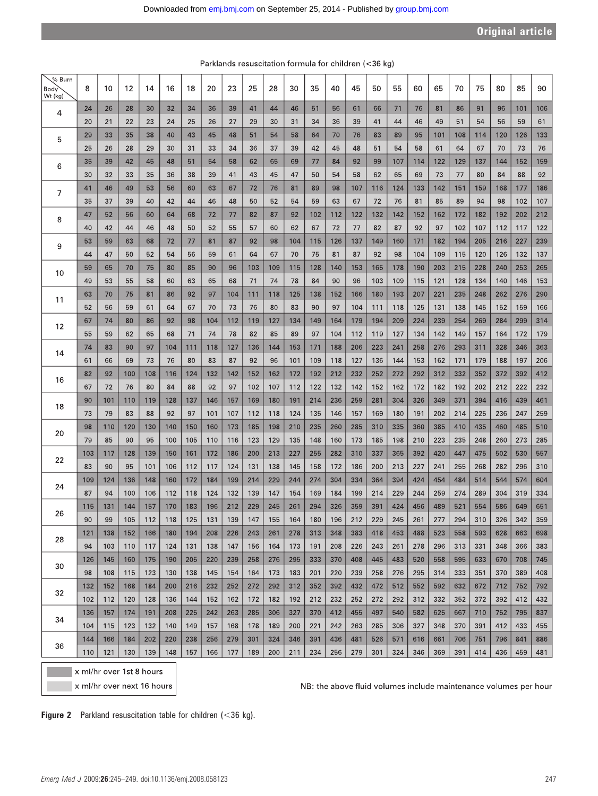| $%$ Burn<br><b>Body</b><br>Wt (kg) | 8          | 10         | 12         | 14         | 16         | 18         | 20         | 23         | 25         | 28         | 30         | 35         | 40         | 45         | 50         | 55         | 60         | 65         | 70         | 75         | 80         | 85         | 90         |
|------------------------------------|------------|------------|------------|------------|------------|------------|------------|------------|------------|------------|------------|------------|------------|------------|------------|------------|------------|------------|------------|------------|------------|------------|------------|
| 4                                  | 24         | 26         | 28         | 30         | 32         | 34         | 36         | 39         | 41         | 44         | 46         | 51         | 56         | 61         | 66         | 71         | 76         | 81         | 86         | 91         | 96         | 101        | 106        |
|                                    | 20<br>29   | 21<br>33   | 22<br>35   | 23<br>38   | 24<br>40   | 25<br>43   | 26<br>45   | 27<br>48   | 29<br>51   | 30<br>54   | 31         | 34<br>64   | 36<br>70   | 39         | 41         | 44         | 46         | 49         | 51<br>108  | 54         | 56<br>120  | 59         | 61         |
| 5                                  | 25         | 26         | 28         | 29         | 30         | 31         | 33         | 34         | 36         | 37         | 58<br>39   | 42         | 45         | 76<br>48   | 83<br>51   | 89<br>54   | 95<br>58   | 101<br>61  | 64         | 114<br>67  | 70         | 126<br>73  | 133<br>76  |
| 6                                  | 35<br>30   | 39<br>32   | 42<br>33   | 45<br>35   | 48<br>36   | 51<br>38   | 54<br>39   | 58<br>41   | 62<br>43   | 65<br>45   | 69<br>47   | 77<br>50   | 84<br>54   | 92<br>58   | 99<br>62   | 107<br>65  | 114<br>69  | 122<br>73  | 129<br>77  | 137<br>80  | 144<br>84  | 152<br>88  | 159<br>92  |
| 7                                  | 41         | 46         | 49         | 53         | 56         | 60         | 63         | 67         | 72         | 76         | 81         | 89         | 98         | 107        | 116        | 124        | 133        | 142        | 151        | 159        | 168        | 177        | 186        |
|                                    | 35         | 37         | 39         | 40         | 42         | 44         | 46         | 48         | 50         | 52         | 54         | 59         | 63         | 67         | 72         | 76         | 81         | 85         | 89         | 94         | 98         | 102        | 107        |
| 8                                  | 47         | 52         | 56         | 60         | 64         | 68         | 72         | 77         | 82         | 87         | 92         | 102        | 112        | 122        | 132        | 142        | 152        | 162        | 172        | 182        | 192        | 202        | 212        |
|                                    | 40         | 42         | 44         | 46         | 48         | 50         | 52         | 55         | 57         | 60         | 62         | 67         | 72         | 77         | 82         | 87         | 92         | 97         | 102        | 107        | 112        | 117        | 122        |
| 9                                  | 53         | 59         | 63         | 68         | 72         | 77         | 81         | 87         | 92         | 98         | 104        | 115        | 126        | 137        | 149        | 160        | 171        | 182        | 194        | 205        | 216        | 227        | 239        |
|                                    | 44         | 47         | 50         | 52         | 54         | 56         | 59         | 61         | 64         | 67         | 70         | 75         | 81         | 87         | 92         | 98         | 104        | 109        | 115        | 120        | 126        | 132        | 137        |
| 10                                 | 59         | 65         | 70         | 75         | 80         | 85         | 90         | 96         | 103        | 109        | 115        | 128        | 140        | 153        | 165        | 178        | 190        | 203        | 215        | 228        | 240        | 253        | 265        |
|                                    | 49         | 53         | 55         | 58         | 60         | 63         | 65         | 68         | 71         | 74         | 78         | 84         | 90         | 96         | 103        | 109        | 115        | 121        | 128        | 134        | 140        | 146        | 153        |
| 11                                 | 63         | 70         | 75         | 81         | 86         | 92         | 97         | 104        | 111        | 118        | 125        | 138        | 152        | 166        | 180        | 193        | 207        | 221        | 235        | 248        | 262        | 276        | 290        |
|                                    | 52         | 56         | 59         | 61         | 64         | 67         | 70         | 73         | 76         | 80         | 83         | 90         | 97         | 104        | 111        | 118        | 125        | 131        | 138        | 145        | 152        | 159        | 166        |
| 12                                 | 67         | 74         | 80         | 86         | 92         | 98         | 104        | 112        | 119        | 127        | 134        | 149        | 164        | 179        | 194        | 209        | 224        | 239        | 254        | 269        | 284        | 299        | 314        |
| 14                                 | 55         | 59         | 62         | 65         | 68         | 71         | 74         | 78         | 82         | 85         | 89         | 97         | 104        | 112        | 119        | 127        | 134        | 142        | 149        | 157        | 164        | 172        | 179        |
|                                    | 74         | 83         | 90         | 97         | 104        | 111        | 118        | 127        | 136        | 144        | 153        | 171        | 188        | 206        | 223        | 241        | 258        | 276        | 293        | 311        | 328        | 346        | 363        |
|                                    | 61         | 66         | 69         | 73         | 76         | 80         | 83         | 87         | 92         | 96         | 101        | 109        | 118        | 127        | 136        | 144        | 153        | 162        | 171        | 179        | 188        | 197        | 206        |
| 16                                 | 82         | 92         | 100        | 108        | 116        | 124        | 132        | 142        | 152        | 162        | 172        | 192        | 212        | 232        | 252        | 272        | 292        | 312        | 332        | 352        | 372        | 392        | 412        |
|                                    | 67         | 72         | 76         | 80         | 84         | 88         | 92         | 97         | 102        | 107        | 112        | 122        | 132        | 142        | 152        | 162        | 172        | 182        | 192        | 202        | 212        | 222        | 232        |
| 18                                 | 90         | 101        | 110        | 119        | 128        | 137        | 146        | 157        | 169        | 180        | 191        | 214        | 236        | 259        | 281        | 304        | 326        | 349        | 371        | 394        | 416        | 439        | 461        |
|                                    | 73         | 79         | 83         | 88         | 92         | 97         | 101        | 107        | 112        | 118        | 124        | 135        | 146        | 157        | 169        | 180        | 191        | 202        | 214        | 225        | 236        | 247        | 259        |
| 20                                 | 98         | 110        | 120        | 130        | 140        | 150        | 160        | 173        | 185        | 198        | 210        | 235        | 260        | 285        | 310        | 335        | 360        | 385        | 410        | 435        | 460        | 485        | 510        |
|                                    | 79<br>103  | 85         | 90<br>128  | 95<br>139  | 100<br>150 | 105        | 110<br>172 | 116<br>186 | 123<br>200 | 129<br>213 | 135<br>227 | 148<br>255 | 160<br>282 | 173<br>310 | 185<br>337 | 198<br>365 | 210<br>392 | 223<br>420 | 235<br>447 | 248<br>475 | 260<br>502 | 273<br>530 | 285<br>557 |
| 22                                 | 83         | 117<br>90  | 95         | 101        | 106        | 161<br>112 | 117        | 124        | 131        | 138        | 145        | 158        | 172        | 186        | 200        | 213        | 227        | 241        | 255        | 268        | 282        | 296        | 310        |
|                                    | 109        | 124        | 136        | 148        | 160        | 172        | 184        | 199        | 214        | 229        | 244        | 274        | 304        | 334        | 364        | 394        | 424        | 454        | 484        | 514        | 544        | 574        | 604        |
| 24                                 | 87         | 94         | 100        | 106        | 112        | 118        | 124        | 132        | 139        | 147        | 154        | 169        | 184        | 199        | 214        | 229        | 244        | 259        | 274        | 289        | 304        | 319        | 334        |
|                                    | 115        | 131        | 144        | 157        | 170        | 183        | 196        | 212        | 229        | 245        | 261        | 294        | 326        | 359        | 391        | 424        | 456        | 489        | 521        | 554        | 586        | 649        | 651        |
| 26                                 | 90         | 99         | 105        | 112        | 118        | 125        | 131        | 139        | 147        | 155        | 164        | 180        | 196        | 212        | 229        | 245        | 261        | 277        | 294        | 310        | 326        | 342        | 359        |
|                                    | 121        | 138        | 152        | 166        | 180        | 194        | 208        | 226        | 243        | 261        | 278        | 313        | 348        | 383        | 418        | 453        | 488        | 523        | 558        | 593        | 628        | 663        | 698        |
| 28                                 | 94         | 103        | 110        | 117        | 124        | 131        | 138        | 147        | 156        | 164        | 173        | 191        | 208        | 226        | 243        | 261        | 278        | 296        | 313        | 331        | 348        | 366        | 383        |
| 30                                 | 126        | 145        | 160        | 175        | 190        | 205        | 220        | 239        | 258        | 276        | 295        | 333        | 370        | 408        | 445        | 483        | 520        | 558        | 595        | 633        | 670        | 708        | 745        |
|                                    | 98         | 108        | 115        | 123        | 130        | 138        | 145        | 154        | 164        | 173        | 183        | 201        | 220        | 239        | 258        | 276        | 295        | 314        | 333        | 351        | 370        | 389        | 408        |
| 32                                 | 132        | 152        | 168        | 184        | 200        | 216        | 232        | 252        | 272        | 292        | 312        | 352        | 392        | 432        | 472        | 512        | 552        | 592        | 632        | 672        | 712        | 752        | 792        |
|                                    | 102        | 112        | 120        | 128        | 136        | 144        | 152        | 162        | 172        | 182        | 192        | 212        | 232        | 252        | 272        | 292        | 312        | 332        | 352        | 372        | 392        | 412        | 432        |
| 34                                 | 136        | 157        | 174        | 191        | 208        | 225        | 242        | 263        | 285        | 306        | 327        | 370        | 412        | 455        | 497        | 540        | 582        | 625<br>348 | 667        | 710        | 752        | 795        | 837        |
|                                    | 104<br>144 | 115<br>166 | 123<br>184 | 132<br>202 | 140<br>220 | 149<br>238 | 157<br>256 | 168        | 178<br>301 | 189<br>324 | 200<br>346 | 221<br>391 | 242<br>436 | 263<br>481 | 285<br>526 | 306<br>571 | 327<br>616 | 661        | 370<br>706 | 391<br>751 | 412<br>796 | 433<br>841 | 455<br>886 |
| 36                                 | 110        | 121        | 130        | 139        | 148        | 157        | 166        | 279<br>177 | 189        | 200        | 211        | 234        | 256        | 279        | 301        | 324        | 346        | 369        | 391        | 414        | 436        | 459        | 481        |
| x ml/hr over 1st 8 hours           |            |            |            |            |            |            |            |            |            |            |            |            |            |            |            |            |            |            |            |            |            |            |            |

Parklands resuscitation formula for children (<36 kg)

Figure 2 Parkland resuscitation table for children  $\left($  < 36 kg).

x ml/hr over next 16 hours

NB: the above fluid volumes include maintenance volumes per hour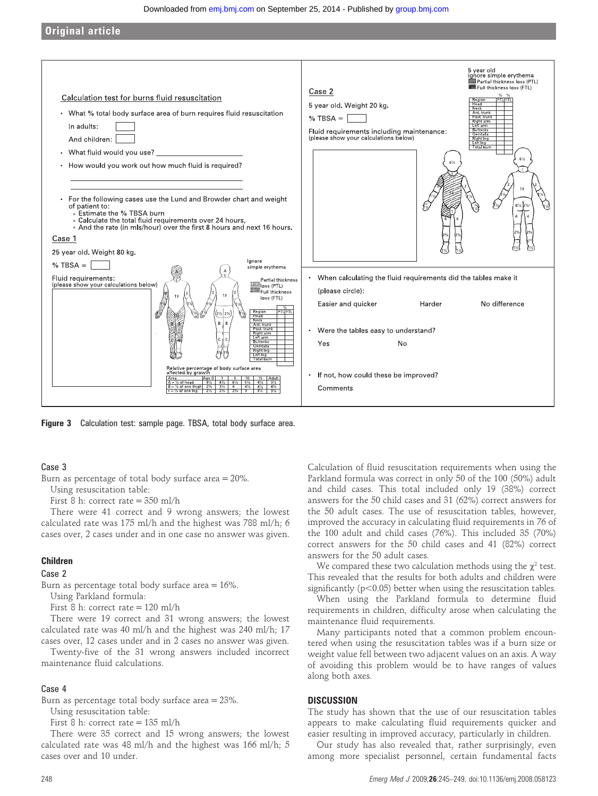#### Downloaded from [emj.bmj.com](http://emj.bmj.com/) on September 25, 2014 - Published by [group.bmj.com](http://group.bmj.com/)

Original article



Figure 3 Calculation test: sample page. TBSA, total body surface area.

## Case 3

Burn as percentage of total body surface area = 20%.

Using resuscitation table:

First 8 h: correct rate = 350 ml/h

There were 41 correct and 9 wrong answers; the lowest calculated rate was 175 ml/h and the highest was 788 ml/h; 6 cases over, 2 cases under and in one case no answer was given.

# Children

# Case 2

Burn as percentage total body surface area = 16%.

Using Parkland formula:

First 8 h: correct rate = 120 ml/h

There were 19 correct and 31 wrong answers; the lowest calculated rate was 40 ml/h and the highest was 240 ml/h; 17 cases over, 12 cases under and in 2 cases no answer was given.

Twenty-five of the 31 wrong answers included incorrect maintenance fluid calculations.

#### Case 4

Burn as percentage total body surface area = 23%.

Using resuscitation table:

First 8 h: correct rate  $= 135$  ml/h

There were 35 correct and 15 wrong answers; the lowest calculated rate was 48 ml/h and the highest was 166 ml/h; 5 cases over and 10 under.

Calculation of fluid resuscitation requirements when using the Parkland formula was correct in only 50 of the 100 (50%) adult and child cases. This total included only 19 (38%) correct answers for the 50 child cases and 31 (62%) correct answers for the 50 adult cases. The use of resuscitation tables, however, improved the accuracy in calculating fluid requirements in 76 of the 100 adult and child cases (76%). This included 35 (70%) correct answers for the 50 child cases and 41 (82%) correct answers for the 50 adult cases.

We compared these two calculation methods using the  $\chi^2$  test. This revealed that the results for both adults and children were significantly ( $p<0.05$ ) better when using the resuscitation tables.

When using the Parkland formula to determine fluid requirements in children, difficulty arose when calculating the maintenance fluid requirements.

Many participants noted that a common problem encountered when using the resuscitation tables was if a burn size or weight value fell between two adjacent values on an axis. A way of avoiding this problem would be to have ranges of values along both axes.

### **DISCUSSION**

The study has shown that the use of our resuscitation tables appears to make calculating fluid requirements quicker and easier resulting in improved accuracy, particularly in children.

Our study has also revealed that, rather surprisingly, even among more specialist personnel, certain fundamental facts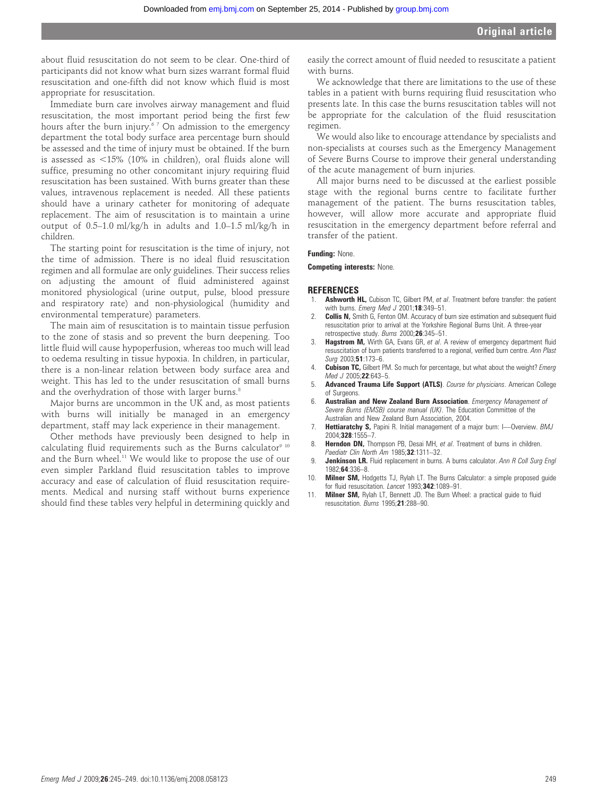about fluid resuscitation do not seem to be clear. One-third of participants did not know what burn sizes warrant formal fluid resuscitation and one-fifth did not know which fluid is most appropriate for resuscitation.

Immediate burn care involves airway management and fluid resuscitation, the most important period being the first few hours after the burn injury.<sup>67</sup> On admission to the emergency department the total body surface area percentage burn should be assessed and the time of injury must be obtained. If the burn is assessed as  $<$ 15% (10% in children), oral fluids alone will suffice, presuming no other concomitant injury requiring fluid resuscitation has been sustained. With burns greater than these values, intravenous replacement is needed. All these patients should have a urinary catheter for monitoring of adequate replacement. The aim of resuscitation is to maintain a urine output of 0.5–1.0 ml/kg/h in adults and 1.0–1.5 ml/kg/h in children.

The starting point for resuscitation is the time of injury, not the time of admission. There is no ideal fluid resuscitation regimen and all formulae are only guidelines. Their success relies on adjusting the amount of fluid administered against monitored physiological (urine output, pulse, blood pressure and respiratory rate) and non-physiological (humidity and environmental temperature) parameters.

The main aim of resuscitation is to maintain tissue perfusion to the zone of stasis and so prevent the burn deepening. Too little fluid will cause hypoperfusion, whereas too much will lead to oedema resulting in tissue hypoxia. In children, in particular, there is a non-linear relation between body surface area and weight. This has led to the under resuscitation of small burns and the overhydration of those with larger burns.<sup>8</sup>

Major burns are uncommon in the UK and, as most patients with burns will initially be managed in an emergency department, staff may lack experience in their management.

Other methods have previously been designed to help in calculating fluid requirements such as the Burns calculator<sup>9 10</sup> and the Burn wheel.<sup>11</sup> We would like to propose the use of our even simpler Parkland fluid resuscitation tables to improve accuracy and ease of calculation of fluid resuscitation requirements. Medical and nursing staff without burns experience should find these tables very helpful in determining quickly and

easily the correct amount of fluid needed to resuscitate a patient with burns.

We acknowledge that there are limitations to the use of these tables in a patient with burns requiring fluid resuscitation who presents late. In this case the burns resuscitation tables will not be appropriate for the calculation of the fluid resuscitation regimen.

We would also like to encourage attendance by specialists and non-specialists at courses such as the Emergency Management of Severe Burns Course to improve their general understanding of the acute management of burn injuries.

All major burns need to be discussed at the earliest possible stage with the regional burns centre to facilitate further management of the patient. The burns resuscitation tables, however, will allow more accurate and appropriate fluid resuscitation in the emergency department before referral and transfer of the patient.

#### Funding: None.

Competing interests: None.

#### REFERENCES

- 1. **Ashworth HL,** Cubison TC, Gilbert PM, et al. Treatment before transfer: the patient with burns. Emerg Med J 2001;18:349-51.
- **Collis N,** Smith G, Fenton OM. Accuracy of burn size estimation and subsequent fluid resuscitation prior to arrival at the Yorkshire Regional Burns Unit. A three-year retrospective study. Burns 2000;26:345–51.
- 3. Hagstrom M, Wirth GA, Evans GR, et al. A review of emergency department fluid resuscitation of burn patients transferred to a regional, verified burn centre. Ann Plast Surg 2003;51:173–6.
- **Cubison TC,** Gilbert PM. So much for percentage, but what about the weight? Emerg Med J 2005;22:643-5.
- Advanced Trauma Life Support (ATLS). Course for physicians. American College of Surgeons.
- 6. Australian and New Zealand Burn Association. Emergency Management of Severe Burns (EMSB) course manual (UK). The Education Committee of the Australian and New Zealand Burn Association, 2004.
- 7. **Hettiaratchy S,** Papini R. Initial management of a major burn: I-Overview. BMJ 2004;328:1555–7.
- 8. Herndon DN, Thompson PB, Desai MH, et al. Treatment of burns in children. Paediatr Clin North Am 1985;32:1311-32.
- 9. Jenkinson LR. Fluid replacement in burns. A burns calculator. Ann R Coll Surg Engl 1982;64:336–8.
- 10. **Milner SM, Hodgetts TJ, Rylah LT. The Burns Calculator: a simple proposed quide** for fluid resuscitation. Lancet 1993;342:1089-91.
- 11. Milner SM, Rylah LT, Bennett JD. The Burn Wheel: a practical guide to fluid resuscitation. Burns 1995;21:288–90.